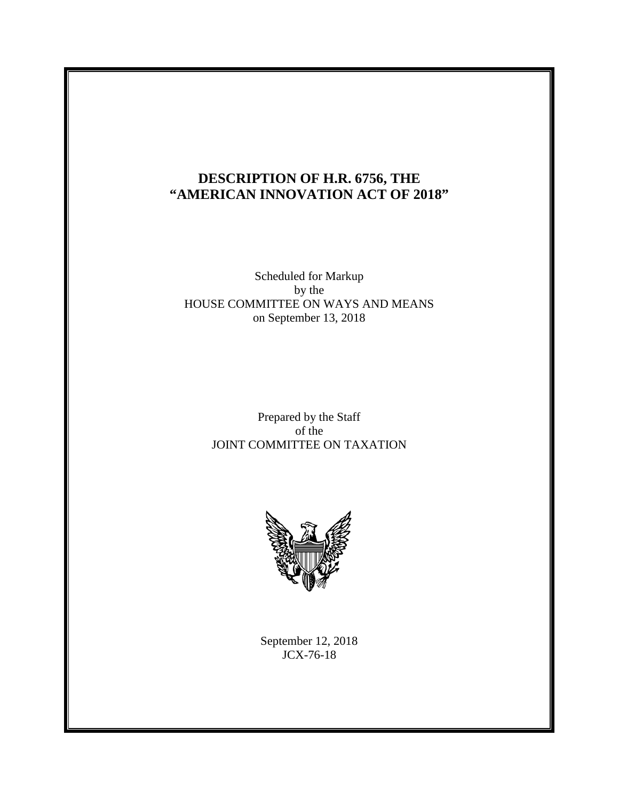# **DESCRIPTION OF H.R. 6756, THE "AMERICAN INNOVATION ACT OF 2018"**

Scheduled for Markup by the HOUSE COMMITTEE ON WAYS AND MEANS on September 13, 2018

> Prepared by the Staff of the JOINT COMMITTEE ON TAXATION



September 12, 2018 JCX-76-18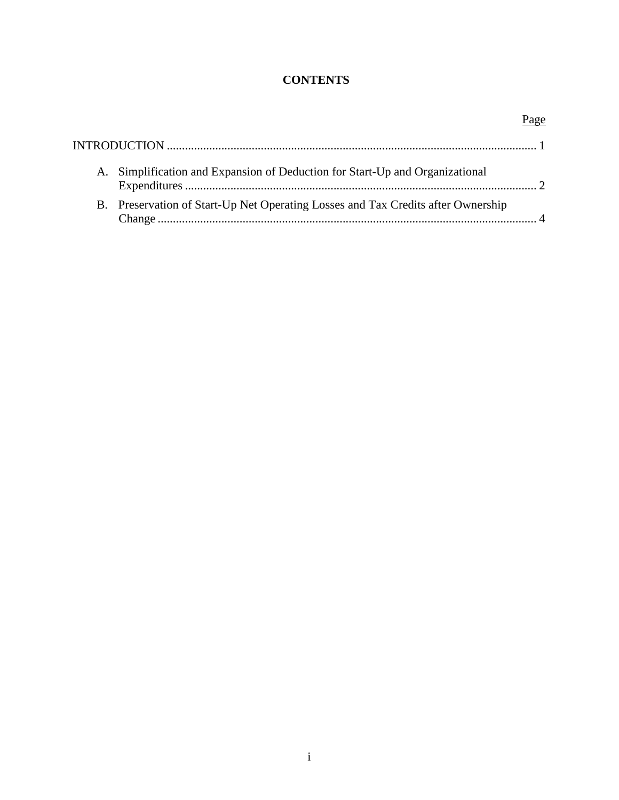# **CONTENTS**

| A. Simplification and Expansion of Deduction for Start-Up and Organizational     |  |
|----------------------------------------------------------------------------------|--|
| B. Preservation of Start-Up Net Operating Losses and Tax Credits after Ownership |  |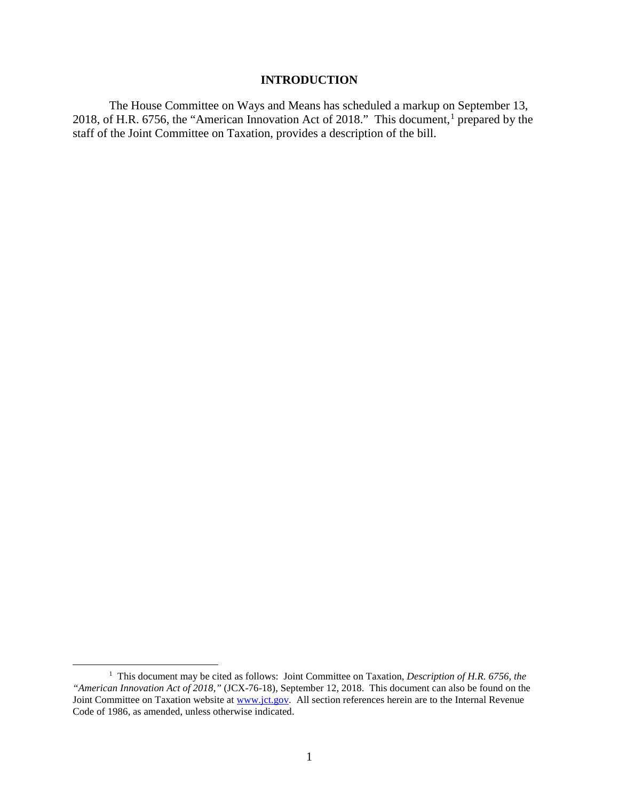## **INTRODUCTION**

<span id="page-2-0"></span>The House Committee on Ways and Means has scheduled a markup on September 13, 20[1](#page-2-1)8, of H.R. 6756, the "American Innovation Act of 2018." This document, $<sup>1</sup>$  prepared by the</sup> staff of the Joint Committee on Taxation, provides a description of the bill.

<span id="page-2-1"></span> $\frac{1}{1}$ <sup>1</sup> This document may be cited as follows: Joint Committee on Taxation, *Description of H.R. 6756, the "American Innovation Act of 2018,"* (JCX-76-18), September 12, 2018. This document can also be found on the Joint Committee on Taxation website at [www.jct.gov.](http://www.jct.gov/) All section references herein are to the Internal Revenue Code of 1986, as amended, unless otherwise indicated.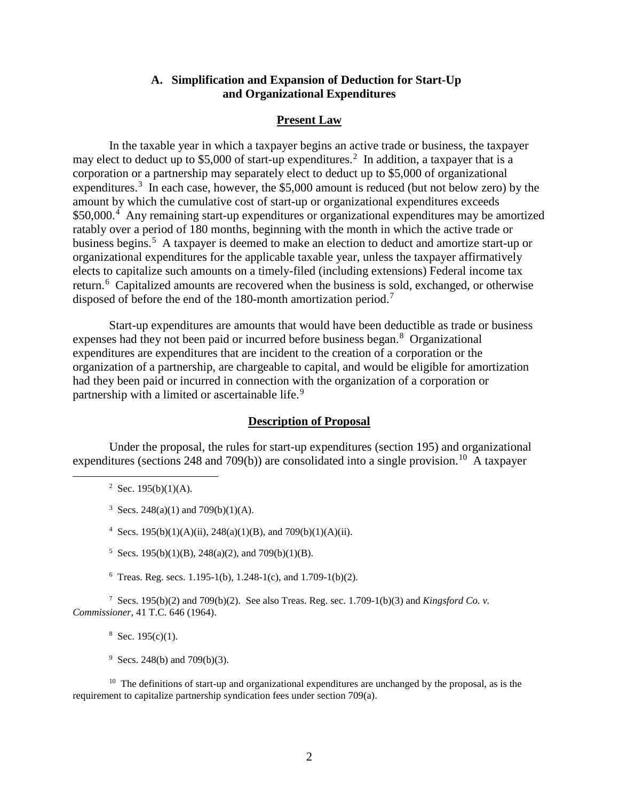# **A. Simplification and Expansion of Deduction for Start-Up and Organizational Expenditures**

#### **Present Law**

<span id="page-3-0"></span>In the taxable year in which a taxpayer begins an active trade or business, the taxpayer may elect to deduct up to \$5,000 of start-up expenditures.<sup>[2](#page-3-1)</sup> In addition, a taxpayer that is a corporation or a partnership may separately elect to deduct up to \$5,000 of organizational expenditures.<sup>[3](#page-3-2)</sup> In each case, however, the \$5,000 amount is reduced (but not below zero) by the amount by which the cumulative cost of start-up or organizational expenditures exceeds \$50,000.<sup>[4](#page-3-3)</sup> Any remaining start-up expenditures or organizational expenditures may be amortized ratably over a period of 180 months, beginning with the month in which the active trade or business begins.<sup>[5](#page-3-4)</sup> A taxpayer is deemed to make an election to deduct and amortize start-up or organizational expenditures for the applicable taxable year, unless the taxpayer affirmatively elects to capitalize such amounts on a timely-filed (including extensions) Federal income tax return.<sup>[6](#page-3-5)</sup> Capitalized amounts are recovered when the business is sold, exchanged, or otherwise disposed of before the end of the 180-month amortization period.<sup>[7](#page-3-6)</sup>

Start-up expenditures are amounts that would have been deductible as trade or business expenses had they not been paid or incurred before business began.<sup>[8](#page-3-7)</sup> Organizational expenditures are expenditures that are incident to the creation of a corporation or the organization of a partnership, are chargeable to capital, and would be eligible for amortization had they been paid or incurred in connection with the organization of a corporation or partnership with a limited or ascertainable life.<sup>[9](#page-3-8)</sup>

#### **Description of Proposal**

Under the proposal, the rules for start-up expenditures (section 195) and organizational expenditures (sections 248 and 709(b)) are consolidated into a single provision.<sup>[10](#page-3-9)</sup> A taxpayer

<sup>3</sup> Secs. 248(a)(1) and 709(b)(1)(A).

<sup>4</sup> Secs. 195(b)(1)(A)(ii), 248(a)(1)(B), and 709(b)(1)(A)(ii).

<sup>5</sup> Secs. 195(b)(1)(B), 248(a)(2), and 709(b)(1)(B).

6 Treas. Reg. secs. 1.195-1(b), 1.248-1(c), and 1.709-1(b)(2).

<span id="page-3-7"></span><span id="page-3-6"></span><span id="page-3-5"></span><span id="page-3-4"></span><sup>7</sup> Secs. 195(b)(2) and 709(b)(2). See also Treas. Reg. sec. 1.709-1(b)(3) and *Kingsford Co. v. Commissioner*, 41 T.C. 646 (1964).

 $8$  Sec. 195(c)(1).

<sup>9</sup> Secs. 248(b) and 709(b)(3).

<span id="page-3-9"></span><span id="page-3-8"></span> $10$  The definitions of start-up and organizational expenditures are unchanged by the proposal, as is the requirement to capitalize partnership syndication fees under section 709(a).

<span id="page-3-3"></span><span id="page-3-2"></span><span id="page-3-1"></span> $\frac{1}{2}$ <sup>2</sup> Sec. 195(b)(1)(A).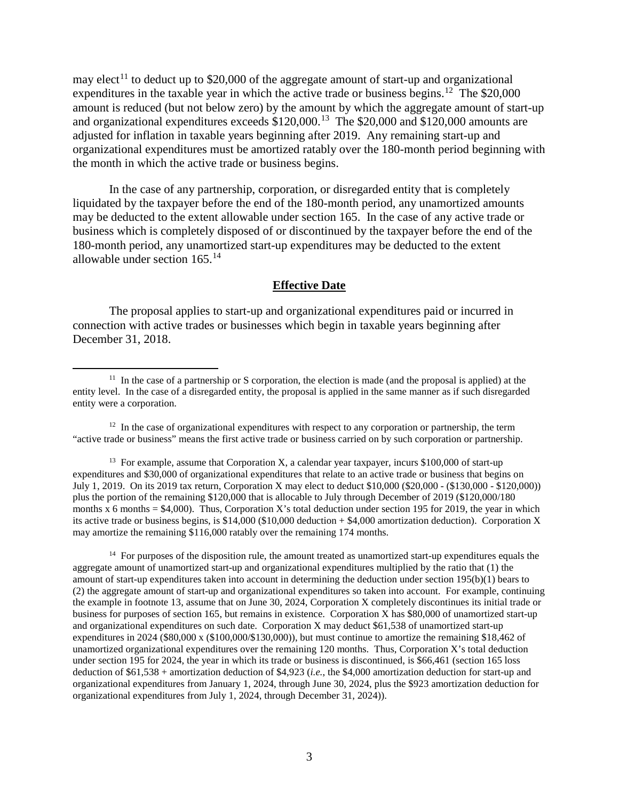may elect<sup>[11](#page-4-0)</sup> to deduct up to \$20,000 of the aggregate amount of start-up and organizational expenditures in the taxable year in which the active trade or business begins.<sup>[12](#page-4-1)</sup> The \$20,000 amount is reduced (but not below zero) by the amount by which the aggregate amount of start-up and organizational expenditures exceeds \$120,000.<sup>13</sup> The \$20,000 and \$120,000 amounts are adjusted for inflation in taxable years beginning after 2019. Any remaining start-up and organizational expenditures must be amortized ratably over the 180-month period beginning with the month in which the active trade or business begins.

In the case of any partnership, corporation, or disregarded entity that is completely liquidated by the taxpayer before the end of the 180-month period, any unamortized amounts may be deducted to the extent allowable under section 165. In the case of any active trade or business which is completely disposed of or discontinued by the taxpayer before the end of the 180-month period, any unamortized start-up expenditures may be deducted to the extent allowable under section  $165.<sup>14</sup>$  $165.<sup>14</sup>$  $165.<sup>14</sup>$ 

#### **Effective Date**

The proposal applies to start-up and organizational expenditures paid or incurred in connection with active trades or businesses which begin in taxable years beginning after December 31, 2018.

<span id="page-4-1"></span> $12$  In the case of organizational expenditures with respect to any corporation or partnership, the term "active trade or business" means the first active trade or business carried on by such corporation or partnership.

<span id="page-4-2"></span><sup>13</sup> For example, assume that Corporation X, a calendar year taxpayer, incurs \$100,000 of start-up expenditures and \$30,000 of organizational expenditures that relate to an active trade or business that begins on July 1, 2019. On its 2019 tax return, Corporation X may elect to deduct \$10,000 (\$20,000 - (\$130,000 - \$120,000)) plus the portion of the remaining \$120,000 that is allocable to July through December of 2019 (\$120,000/180 months  $x$  6 months = \$4,000). Thus, Corporation X's total deduction under section 195 for 2019, the year in which its active trade or business begins, is \$14,000 (\$10,000 deduction + \$4,000 amortization deduction). Corporation X may amortize the remaining \$116,000 ratably over the remaining 174 months.

<span id="page-4-3"></span><sup>14</sup> For purposes of the disposition rule, the amount treated as unamortized start-up expenditures equals the aggregate amount of unamortized start-up and organizational expenditures multiplied by the ratio that (1) the amount of start-up expenditures taken into account in determining the deduction under section 195(b)(1) bears to (2) the aggregate amount of start-up and organizational expenditures so taken into account. For example, continuing the example in footnote 13, assume that on June 30, 2024, Corporation X completely discontinues its initial trade or business for purposes of section 165, but remains in existence. Corporation X has \$80,000 of unamortized start-up and organizational expenditures on such date. Corporation X may deduct \$61,538 of unamortized start-up expenditures in 2024 (\$80,000 x (\$100,000/\$130,000)), but must continue to amortize the remaining \$18,462 of unamortized organizational expenditures over the remaining 120 months. Thus, Corporation X's total deduction under section 195 for 2024, the year in which its trade or business is discontinued, is \$66,461 (section 165 loss deduction of \$61,538 + amortization deduction of \$4,923 (*i.e.*, the \$4,000 amortization deduction for start-up and organizational expenditures from January 1, 2024, through June 30, 2024, plus the \$923 amortization deduction for organizational expenditures from July 1, 2024, through December 31, 2024)).

<span id="page-4-0"></span> $11$  In the case of a partnership or S corporation, the election is made (and the proposal is applied) at the entity level. In the case of a disregarded entity, the proposal is applied in the same manner as if such disregarded entity were a corporation.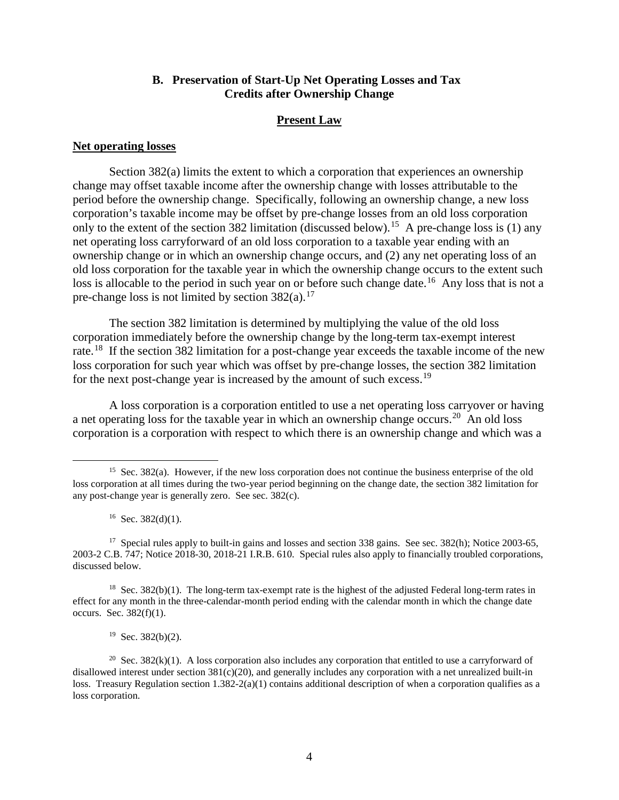## **B. Preservation of Start-Up Net Operating Losses and Tax Credits after Ownership Change**

#### **Present Law**

#### <span id="page-5-0"></span>**Net operating losses**

Section 382(a) limits the extent to which a corporation that experiences an ownership change may offset taxable income after the ownership change with losses attributable to the period before the ownership change. Specifically, following an ownership change, a new loss corporation's taxable income may be offset by pre-change losses from an old loss corporation only to the extent of the section 382 limitation (discussed below).<sup>[15](#page-5-1)</sup> A pre-change loss is (1) any net operating loss carryforward of an old loss corporation to a taxable year ending with an ownership change or in which an ownership change occurs, and (2) any net operating loss of an old loss corporation for the taxable year in which the ownership change occurs to the extent such loss is allocable to the period in such year on or before such change date.<sup>16</sup> Any loss that is not a pre-change loss is not limited by section  $382(a)$ .<sup>[17](#page-5-3)</sup>

The section 382 limitation is determined by multiplying the value of the old loss corporation immediately before the ownership change by the long-term tax-exempt interest rate.<sup>18</sup> If the section 382 limitation for a post-change year exceeds the taxable income of the new loss corporation for such year which was offset by pre-change losses, the section 382 limitation for the next post-change year is increased by the amount of such excess.<sup>[19](#page-5-5)</sup>

A loss corporation is a corporation entitled to use a net operating loss carryover or having a net operating loss for the taxable year in which an ownership change occurs.<sup>20</sup> An old loss corporation is a corporation with respect to which there is an ownership change and which was a

<span id="page-5-1"></span> <sup>15</sup> Sec. 382(a). However, if the new loss corporation does not continue the business enterprise of the old loss corporation at all times during the two-year period beginning on the change date, the section 382 limitation for any post-change year is generally zero. See sec. 382(c).

 $16$  Sec. 382(d)(1).

<span id="page-5-3"></span><span id="page-5-2"></span><sup>&</sup>lt;sup>17</sup> Special rules apply to built-in gains and losses and section 338 gains. See sec. 382(h); Notice 2003-65, 2003-2 C.B. 747; Notice 2018-30, 2018-21 I.R.B. 610. Special rules also apply to financially troubled corporations, discussed below.

<span id="page-5-4"></span><sup>&</sup>lt;sup>18</sup> Sec. 382(b)(1). The long-term tax-exempt rate is the highest of the adjusted Federal long-term rates in effect for any month in the three-calendar-month period ending with the calendar month in which the change date occurs. Sec.  $382(f)(1)$ .

 $19$  Sec. 382(b)(2).

<span id="page-5-6"></span><span id="page-5-5"></span><sup>&</sup>lt;sup>20</sup> Sec. 382(k)(1). A loss corporation also includes any corporation that entitled to use a carryforward of disallowed interest under section  $381(c)(20)$ , and generally includes any corporation with a net unrealized built-in loss. Treasury Regulation section 1.382-2(a)(1) contains additional description of when a corporation qualifies as a loss corporation.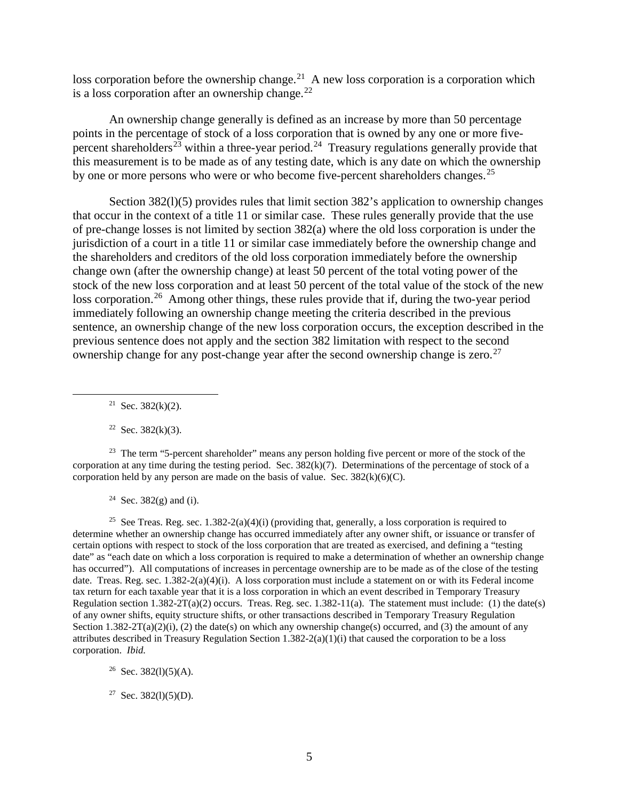loss corporation before the ownership change.<sup>21</sup> A new loss corporation is a corporation which is a loss corporation after an ownership change. $^{22}$  $^{22}$  $^{22}$ 

An ownership change generally is defined as an increase by more than 50 percentage points in the percentage of stock of a loss corporation that is owned by any one or more five-percent shareholders<sup>[23](#page-6-2)</sup> within a three-year period.<sup>24</sup> Treasury regulations generally provide that this measurement is to be made as of any testing date, which is any date on which the ownership by one or more persons who were or who become five-percent shareholders changes.<sup>[25](#page-6-4)</sup>

Section 382(1)(5) provides rules that limit section 382's application to ownership changes that occur in the context of a title 11 or similar case. These rules generally provide that the use of pre-change losses is not limited by section 382(a) where the old loss corporation is under the jurisdiction of a court in a title 11 or similar case immediately before the ownership change and the shareholders and creditors of the old loss corporation immediately before the ownership change own (after the ownership change) at least 50 percent of the total voting power of the stock of the new loss corporation and at least 50 percent of the total value of the stock of the new loss corporation.<sup>26</sup> Among other things, these rules provide that if, during the two-year period immediately following an ownership change meeting the criteria described in the previous sentence, an ownership change of the new loss corporation occurs, the exception described in the previous sentence does not apply and the section 382 limitation with respect to the second ownership change for any post-change year after the second ownership change is zero.<sup>[27](#page-6-6)</sup>

<sup>21</sup> Sec. 382(k)(2).

<sup>22</sup> Sec. 382(k)(3).

<span id="page-6-2"></span><span id="page-6-1"></span><span id="page-6-0"></span><sup>23</sup> The term "5-percent shareholder" means any person holding five percent or more of the stock of the corporation at any time during the testing period. Sec.  $382(k)(7)$ . Determinations of the percentage of stock of a corporation held by any person are made on the basis of value. Sec.  $382(k)(6)(C)$ .

<sup>24</sup> Sec. 382(g) and (i).

<span id="page-6-4"></span><span id="page-6-3"></span><sup>25</sup> See Treas. Reg. sec.  $1.382-2(a)(4)(i)$  (providing that, generally, a loss corporation is required to determine whether an ownership change has occurred immediately after any owner shift, or issuance or transfer of certain options with respect to stock of the loss corporation that are treated as exercised, and defining a "testing date" as "each date on which a loss corporation is required to make a determination of whether an ownership change has occurred"). All computations of increases in percentage ownership are to be made as of the close of the testing date. Treas. Reg. sec. 1.382-2(a)(4)(i). A loss corporation must include a statement on or with its Federal income tax return for each taxable year that it is a loss corporation in which an event described in Temporary Treasury Regulation section  $1.382-2T(a)(2)$  occurs. Treas. Reg. sec.  $1.382-11(a)$ . The statement must include: (1) the date(s) of any owner shifts, equity structure shifts, or other transactions described in Temporary Treasury Regulation Section  $1.382-2T(a)(2)(i)$ , (2) the date(s) on which any ownership change(s) occurred, and (3) the amount of any attributes described in Treasury Regulation Section  $1.382-2(a)(1)(i)$  that caused the corporation to be a loss corporation. *Ibid.*

<span id="page-6-5"></span><sup>26</sup> Sec. 382(1)(5)(A).

<span id="page-6-6"></span><sup>27</sup> Sec. 382(1)(5)(D).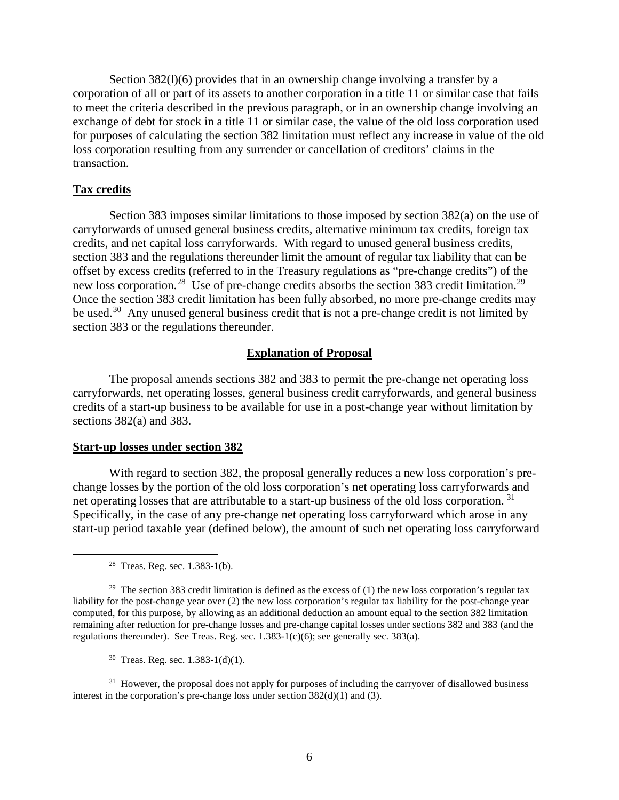Section 382(l)(6) provides that in an ownership change involving a transfer by a corporation of all or part of its assets to another corporation in a title 11 or similar case that fails to meet the criteria described in the previous paragraph, or in an ownership change involving an exchange of debt for stock in a title 11 or similar case, the value of the old loss corporation used for purposes of calculating the section 382 limitation must reflect any increase in value of the old loss corporation resulting from any surrender or cancellation of creditors' claims in the transaction.

## **Tax credits**

Section 383 imposes similar limitations to those imposed by section 382(a) on the use of carryforwards of unused general business credits, alternative minimum tax credits, foreign tax credits, and net capital loss carryforwards. With regard to unused general business credits, section 383 and the regulations thereunder limit the amount of regular tax liability that can be offset by excess credits (referred to in the Treasury regulations as "pre-change credits") of the new loss corporation.<sup>28</sup> Use of pre-change credits absorbs the section 383 credit limitation.<sup>29</sup> Once the section 383 credit limitation has been fully absorbed, no more pre-change credits may be used.<sup>[30](#page-7-2)</sup> Any unused general business credit that is not a pre-change credit is not limited by section 383 or the regulations thereunder.

## **Explanation of Proposal**

The proposal amends sections 382 and 383 to permit the pre-change net operating loss carryforwards, net operating losses, general business credit carryforwards, and general business credits of a start-up business to be available for use in a post-change year without limitation by sections 382(a) and 383.

#### **Start-up losses under section 382**

With regard to section 382, the proposal generally reduces a new loss corporation's prechange losses by the portion of the old loss corporation's net operating loss carryforwards and net operating losses that are attributable to a start-up business of the old loss corporation.<sup>31</sup> Specifically, in the case of any pre-change net operating loss carryforward which arose in any start-up period taxable year (defined below), the amount of such net operating loss carryforward

30 Treas. Reg. sec. 1.383-1(d)(1).

<span id="page-7-3"></span><span id="page-7-2"></span><sup>31</sup> However, the proposal does not apply for purposes of including the carryover of disallowed business interest in the corporation's pre-change loss under section 382(d)(1) and (3).

 <sup>28</sup> Treas. Reg. sec. 1.383-1(b).

<span id="page-7-1"></span><span id="page-7-0"></span><sup>&</sup>lt;sup>29</sup> The section 383 credit limitation is defined as the excess of (1) the new loss corporation's regular tax liability for the post-change year over (2) the new loss corporation's regular tax liability for the post-change year computed, for this purpose, by allowing as an additional deduction an amount equal to the section 382 limitation remaining after reduction for pre-change losses and pre-change capital losses under sections 382 and 383 (and the regulations thereunder). See Treas. Reg. sec. 1.383-1(c)(6); see generally sec. 383(a).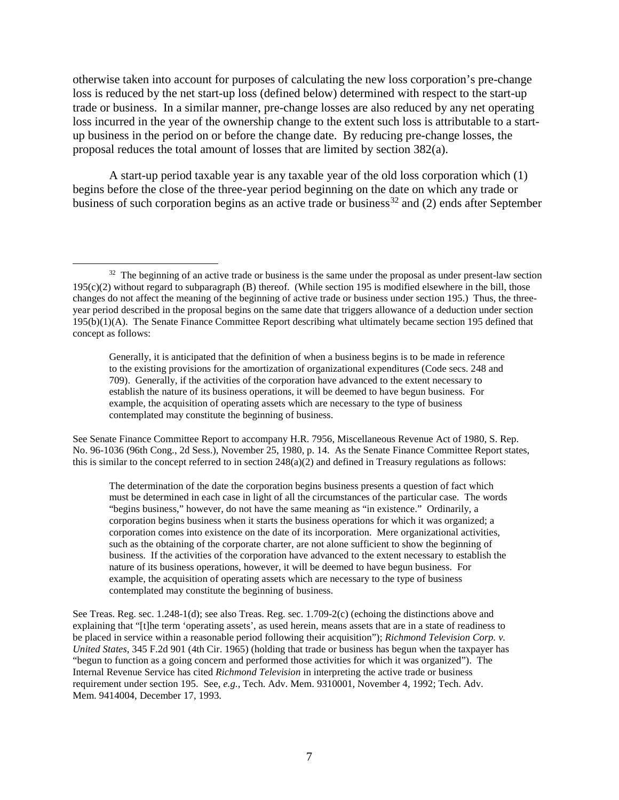otherwise taken into account for purposes of calculating the new loss corporation's pre-change loss is reduced by the net start-up loss (defined below) determined with respect to the start-up trade or business. In a similar manner, pre-change losses are also reduced by any net operating loss incurred in the year of the ownership change to the extent such loss is attributable to a startup business in the period on or before the change date. By reducing pre-change losses, the proposal reduces the total amount of losses that are limited by section 382(a).

A start-up period taxable year is any taxable year of the old loss corporation which (1) begins before the close of the three-year period beginning on the date on which any trade or business of such corporation begins as an active trade or business<sup>[32](#page-8-0)</sup> and (2) ends after September

Generally, it is anticipated that the definition of when a business begins is to be made in reference to the existing provisions for the amortization of organizational expenditures (Code secs. 248 and 709). Generally, if the activities of the corporation have advanced to the extent necessary to establish the nature of its business operations, it will be deemed to have begun business. For example, the acquisition of operating assets which are necessary to the type of business contemplated may constitute the beginning of business.

See Senate Finance Committee Report to accompany H.R. 7956, Miscellaneous Revenue Act of 1980, S. Rep. No. 96-1036 (96th Cong., 2d Sess.), November 25, 1980, p. 14. As the Senate Finance Committee Report states, this is similar to the concept referred to in section  $248(a)(2)$  and defined in Treasury regulations as follows:

The determination of the date the corporation begins business presents a question of fact which must be determined in each case in light of all the circumstances of the particular case. The words "begins business," however, do not have the same meaning as "in existence." Ordinarily, a corporation begins business when it starts the business operations for which it was organized; a corporation comes into existence on the date of its incorporation. Mere organizational activities, such as the obtaining of the corporate charter, are not alone sufficient to show the beginning of business. If the activities of the corporation have advanced to the extent necessary to establish the nature of its business operations, however, it will be deemed to have begun business. For example, the acquisition of operating assets which are necessary to the type of business contemplated may constitute the beginning of business.

See Treas. Reg. sec. 1.248-1(d); see also Treas. Reg. sec. 1.709-2(c) (echoing the distinctions above and explaining that "[t]he term 'operating assets', as used herein, means assets that are in a state of readiness to be placed in service within a reasonable period following their acquisition"); *Richmond Television Corp. v. United States*, 345 F.2d 901 (4th Cir. 1965) (holding that trade or business has begun when the taxpayer has "begun to function as a going concern and performed those activities for which it was organized"). The Internal Revenue Service has cited *Richmond Television* in interpreting the active trade or business requirement under section 195. See, *e.g.*, Tech. Adv. Mem. 9310001, November 4, 1992; Tech. Adv. Mem. 9414004, December 17, 1993.

<span id="page-8-0"></span><sup>&</sup>lt;sup>32</sup> The beginning of an active trade or business is the same under the proposal as under present-law section  $195(c)(2)$  without regard to subparagraph (B) thereof. (While section 195 is modified elsewhere in the bill, those changes do not affect the meaning of the beginning of active trade or business under section 195.) Thus, the threeyear period described in the proposal begins on the same date that triggers allowance of a deduction under section 195(b)(1)(A). The Senate Finance Committee Report describing what ultimately became section 195 defined that concept as follows: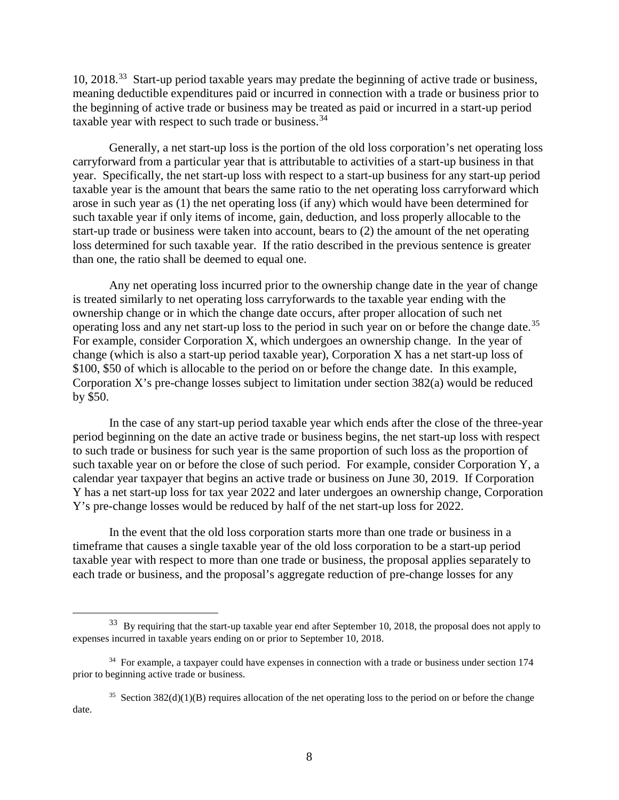10, 2018.[33](#page-9-0) Start-up period taxable years may predate the beginning of active trade or business, meaning deductible expenditures paid or incurred in connection with a trade or business prior to the beginning of active trade or business may be treated as paid or incurred in a start-up period taxable year with respect to such trade or business.  $34$ 

Generally, a net start-up loss is the portion of the old loss corporation's net operating loss carryforward from a particular year that is attributable to activities of a start-up business in that year. Specifically, the net start-up loss with respect to a start-up business for any start-up period taxable year is the amount that bears the same ratio to the net operating loss carryforward which arose in such year as (1) the net operating loss (if any) which would have been determined for such taxable year if only items of income, gain, deduction, and loss properly allocable to the start-up trade or business were taken into account, bears to (2) the amount of the net operating loss determined for such taxable year. If the ratio described in the previous sentence is greater than one, the ratio shall be deemed to equal one.

Any net operating loss incurred prior to the ownership change date in the year of change is treated similarly to net operating loss carryforwards to the taxable year ending with the ownership change or in which the change date occurs, after proper allocation of such net operating loss and any net start-up loss to the period in such year on or before the change date.<sup>[35](#page-9-2)</sup> For example, consider Corporation X, which undergoes an ownership change. In the year of change (which is also a start-up period taxable year), Corporation X has a net start-up loss of \$100, \$50 of which is allocable to the period on or before the change date. In this example, Corporation X's pre-change losses subject to limitation under section 382(a) would be reduced by \$50.

In the case of any start-up period taxable year which ends after the close of the three-year period beginning on the date an active trade or business begins, the net start-up loss with respect to such trade or business for such year is the same proportion of such loss as the proportion of such taxable year on or before the close of such period. For example, consider Corporation Y, a calendar year taxpayer that begins an active trade or business on June 30, 2019. If Corporation Y has a net start-up loss for tax year 2022 and later undergoes an ownership change, Corporation Y's pre-change losses would be reduced by half of the net start-up loss for 2022.

In the event that the old loss corporation starts more than one trade or business in a timeframe that causes a single taxable year of the old loss corporation to be a start-up period taxable year with respect to more than one trade or business, the proposal applies separately to each trade or business, and the proposal's aggregate reduction of pre-change losses for any

<span id="page-9-0"></span><sup>&</sup>lt;sup>33</sup> By requiring that the start-up taxable year end after September 10, 2018, the proposal does not apply to expenses incurred in taxable years ending on or prior to September 10, 2018.

<span id="page-9-1"></span><sup>&</sup>lt;sup>34</sup> For example, a taxpayer could have expenses in connection with a trade or business under section 174 prior to beginning active trade or business.

<span id="page-9-2"></span><sup>&</sup>lt;sup>35</sup> Section 382(d)(1)(B) requires allocation of the net operating loss to the period on or before the change date.